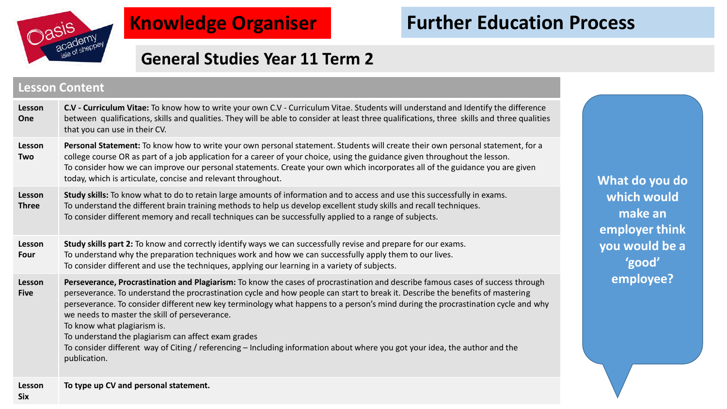

# **Knowledge Organiser**

# **Further Education Process**

## **General Studies Year 11 Term 2**

#### **Lesson Content**

| Lesson<br>One          | C.V - Curriculum Vitae: To know how to write your own C.V - Curriculum Vitae. Students will understand and Identify the difference<br>between qualifications, skills and qualities. They will be able to consider at least three qualifications, three skills and three qualities<br>that you can use in their CV.                                                                                                                                                                                                                                                                                                                                                                          |  |
|------------------------|---------------------------------------------------------------------------------------------------------------------------------------------------------------------------------------------------------------------------------------------------------------------------------------------------------------------------------------------------------------------------------------------------------------------------------------------------------------------------------------------------------------------------------------------------------------------------------------------------------------------------------------------------------------------------------------------|--|
| Lesson<br>Two          | Personal Statement: To know how to write your own personal statement. Students will create their own personal statement, for a<br>college course OR as part of a job application for a career of your choice, using the guidance given throughout the lesson.<br>To consider how we can improve our personal statements. Create your own which incorporates all of the guidance you are given<br>today, which is articulate, concise and relevant throughout.                                                                                                                                                                                                                               |  |
| Lesson<br><b>Three</b> | Study skills: To know what to do to retain large amounts of information and to access and use this successfully in exams.<br>To understand the different brain training methods to help us develop excellent study skills and recall techniques.<br>To consider different memory and recall techniques can be successfully applied to a range of subjects.                                                                                                                                                                                                                                                                                                                                  |  |
| Lesson<br>Four         | Study skills part 2: To know and correctly identify ways we can successfully revise and prepare for our exams.<br>To understand why the preparation techniques work and how we can successfully apply them to our lives.<br>To consider different and use the techniques, applying our learning in a variety of subjects.                                                                                                                                                                                                                                                                                                                                                                   |  |
| Lesson<br><b>Five</b>  | Perseverance, Procrastination and Plagiarism: To know the cases of procrastination and describe famous cases of success through<br>perseverance. To understand the procrastination cycle and how people can start to break it. Describe the benefits of mastering<br>perseverance. To consider different new key terminology what happens to a person's mind during the procrastination cycle and why<br>we needs to master the skill of perseverance.<br>To know what plagiarism is.<br>To understand the plagiarism can affect exam grades<br>To consider different way of Citing / referencing - Including information about where you got your idea, the author and the<br>publication. |  |
| Lesson                 | To type up CV and personal statement.                                                                                                                                                                                                                                                                                                                                                                                                                                                                                                                                                                                                                                                       |  |

**What do you do which would make an employer think you would be a 'good' employee?**